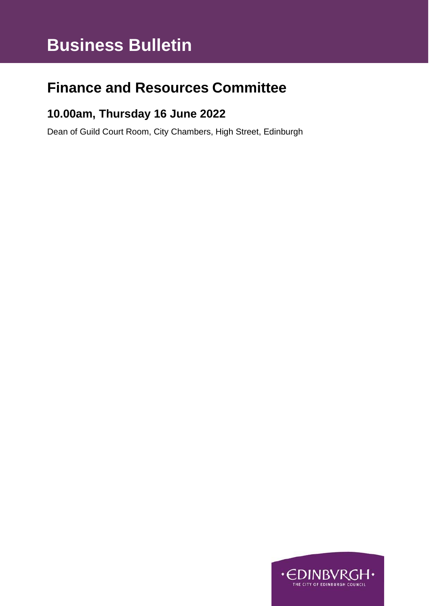# **Business Bulletin**

## **Finance and Resources Committee**

### **10.00am, Thursday 16 June 2022**

Dean of Guild Court Room, City Chambers, High Street, Edinburgh

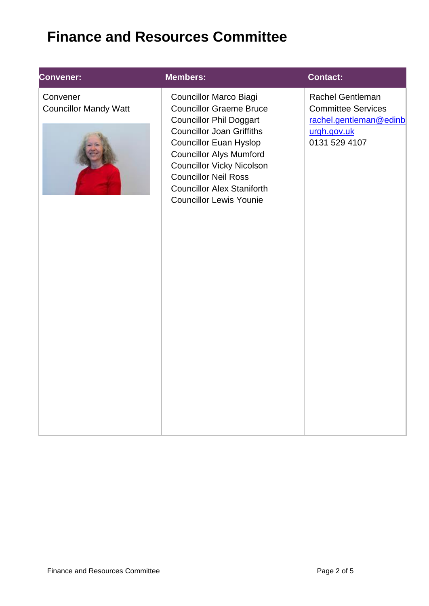## **Finance and Resources Committee**

#### **Convener:**

**Convener:** Convener Councillor Mandy Watt



#### **Members: Contact:**

Councillor Marco Biagi Councillor Graeme Bruce Councillor Phil Doggart Councillor Joan Griffiths Councillor Euan Hyslop Councillor Alys Mumford Councillor Vicky Nicolson Councillor Neil Ross Councillor Alex Staniforth Councillor Lewis Younie

[Rachel](mailto:Blair.Ritchie@edinburgh.gov.uk) Gentleman Committee Services [rachel.gentleman@edinb](mailto:rachel.gentleman@edinburgh.gov.uk) [urgh.gov.uk](mailto:rachel.gentleman@edinburgh.gov.uk) 0131 529 4107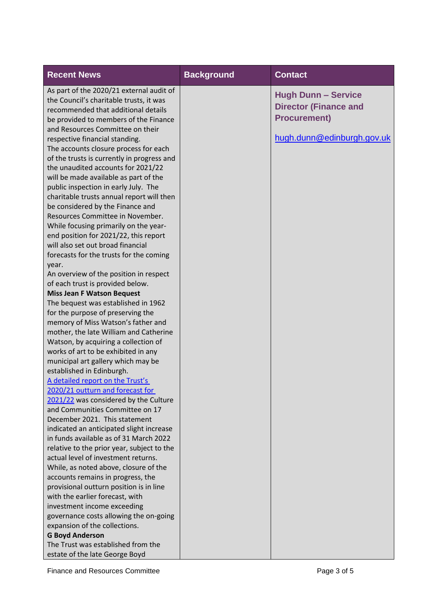| <b>Recent News</b>                                                                                                                                                                                                                                                                                                                                                                                                                                                                                                                                                                                                                                                                                                                                                                                                                                                                                                | <b>Background</b> | <b>Contact</b>                                                                                                  |
|-------------------------------------------------------------------------------------------------------------------------------------------------------------------------------------------------------------------------------------------------------------------------------------------------------------------------------------------------------------------------------------------------------------------------------------------------------------------------------------------------------------------------------------------------------------------------------------------------------------------------------------------------------------------------------------------------------------------------------------------------------------------------------------------------------------------------------------------------------------------------------------------------------------------|-------------------|-----------------------------------------------------------------------------------------------------------------|
| As part of the 2020/21 external audit of<br>the Council's charitable trusts, it was<br>recommended that additional details<br>be provided to members of the Finance<br>and Resources Committee on their<br>respective financial standing.<br>The accounts closure process for each<br>of the trusts is currently in progress and<br>the unaudited accounts for 2021/22<br>will be made available as part of the<br>public inspection in early July. The<br>charitable trusts annual report will then<br>be considered by the Finance and<br>Resources Committee in November.<br>While focusing primarily on the year-<br>end position for 2021/22, this report<br>will also set out broad financial<br>forecasts for the trusts for the coming<br>year.<br>An overview of the position in respect<br>of each trust is provided below.<br><b>Miss Jean F Watson Bequest</b><br>The bequest was established in 1962 |                   | <b>Hugh Dunn - Service</b><br><b>Director (Finance and</b><br><b>Procurement)</b><br>hugh.dunn@edinburgh.gov.uk |
| for the purpose of preserving the<br>memory of Miss Watson's father and<br>mother, the late William and Catherine<br>Watson, by acquiring a collection of<br>works of art to be exhibited in any                                                                                                                                                                                                                                                                                                                                                                                                                                                                                                                                                                                                                                                                                                                  |                   |                                                                                                                 |
| municipal art gallery which may be<br>established in Edinburgh.<br>A detailed report on the Trust's<br>2020/21 outturn and forecast for<br>2021/22 was considered by the Culture<br>and Communities Committee on 17<br>December 2021. This statement<br>indicated an anticipated slight increase                                                                                                                                                                                                                                                                                                                                                                                                                                                                                                                                                                                                                  |                   |                                                                                                                 |
| in funds available as of 31 March 2022<br>relative to the prior year, subject to the<br>actual level of investment returns.<br>While, as noted above, closure of the<br>accounts remains in progress, the<br>provisional outturn position is in line<br>with the earlier forecast, with                                                                                                                                                                                                                                                                                                                                                                                                                                                                                                                                                                                                                           |                   |                                                                                                                 |
| investment income exceeding<br>governance costs allowing the on-going<br>expansion of the collections.<br><b>G Boyd Anderson</b><br>The Trust was established from the<br>estate of the late George Boyd                                                                                                                                                                                                                                                                                                                                                                                                                                                                                                                                                                                                                                                                                                          |                   |                                                                                                                 |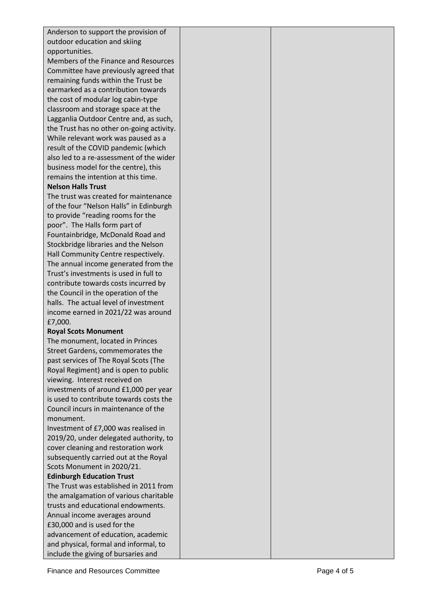| outdoor education and skiing<br>opportunities.<br>Members of the Finance and Resources<br>Committee have previously agreed that<br>remaining funds within the Trust be<br>earmarked as a contribution towards<br>the cost of modular log cabin-type<br>classroom and storage space at the<br>Lagganlia Outdoor Centre and, as such,<br>the Trust has no other on-going activity.<br>While relevant work was paused as a<br>result of the COVID pandemic (which<br>also led to a re-assessment of the wider<br>business model for the centre), this<br>remains the intention at this time.<br><b>Nelson Halls Trust</b><br>The trust was created for maintenance<br>of the four "Nelson Halls" in Edinburgh<br>to provide "reading rooms for the<br>poor". The Halls form part of<br>Fountainbridge, McDonald Road and<br>Stockbridge libraries and the Nelson<br>Hall Community Centre respectively.<br>The annual income generated from the<br>Trust's investments is used in full to<br>contribute towards costs incurred by<br>the Council in the operation of the<br>halls. The actual level of investment<br>income earned in 2021/22 was around<br>£7,000.<br><b>Royal Scots Monument</b><br>The monument, located in Princes<br>Street Gardens, commemorates the<br>past services of The Royal Scots (The<br>Royal Regiment) and is open to public<br>viewing. Interest received on<br>investments of around £1,000 per year<br>is used to contribute towards costs the<br>Council incurs in maintenance of the<br>monument.<br>Investment of £7,000 was realised in<br>2019/20, under delegated authority, to<br>cover cleaning and restoration work<br>subsequently carried out at the Royal<br>Scots Monument in 2020/21.<br><b>Edinburgh Education Trust</b><br>The Trust was established in 2011 from<br>the amalgamation of various charitable<br>trusts and educational endowments.<br>Annual income averages around<br>£30,000 and is used for the<br>advancement of education, academic<br>and physical, formal and informal, to | Anderson to support the provision of |  |
|--------------------------------------------------------------------------------------------------------------------------------------------------------------------------------------------------------------------------------------------------------------------------------------------------------------------------------------------------------------------------------------------------------------------------------------------------------------------------------------------------------------------------------------------------------------------------------------------------------------------------------------------------------------------------------------------------------------------------------------------------------------------------------------------------------------------------------------------------------------------------------------------------------------------------------------------------------------------------------------------------------------------------------------------------------------------------------------------------------------------------------------------------------------------------------------------------------------------------------------------------------------------------------------------------------------------------------------------------------------------------------------------------------------------------------------------------------------------------------------------------------------------------------------------------------------------------------------------------------------------------------------------------------------------------------------------------------------------------------------------------------------------------------------------------------------------------------------------------------------------------------------------------------------------------------------------------------------------------------------------------------------------------------------------------|--------------------------------------|--|
|                                                                                                                                                                                                                                                                                                                                                                                                                                                                                                                                                                                                                                                                                                                                                                                                                                                                                                                                                                                                                                                                                                                                                                                                                                                                                                                                                                                                                                                                                                                                                                                                                                                                                                                                                                                                                                                                                                                                                                                                                                                  |                                      |  |
|                                                                                                                                                                                                                                                                                                                                                                                                                                                                                                                                                                                                                                                                                                                                                                                                                                                                                                                                                                                                                                                                                                                                                                                                                                                                                                                                                                                                                                                                                                                                                                                                                                                                                                                                                                                                                                                                                                                                                                                                                                                  |                                      |  |
|                                                                                                                                                                                                                                                                                                                                                                                                                                                                                                                                                                                                                                                                                                                                                                                                                                                                                                                                                                                                                                                                                                                                                                                                                                                                                                                                                                                                                                                                                                                                                                                                                                                                                                                                                                                                                                                                                                                                                                                                                                                  |                                      |  |
|                                                                                                                                                                                                                                                                                                                                                                                                                                                                                                                                                                                                                                                                                                                                                                                                                                                                                                                                                                                                                                                                                                                                                                                                                                                                                                                                                                                                                                                                                                                                                                                                                                                                                                                                                                                                                                                                                                                                                                                                                                                  |                                      |  |
|                                                                                                                                                                                                                                                                                                                                                                                                                                                                                                                                                                                                                                                                                                                                                                                                                                                                                                                                                                                                                                                                                                                                                                                                                                                                                                                                                                                                                                                                                                                                                                                                                                                                                                                                                                                                                                                                                                                                                                                                                                                  |                                      |  |
|                                                                                                                                                                                                                                                                                                                                                                                                                                                                                                                                                                                                                                                                                                                                                                                                                                                                                                                                                                                                                                                                                                                                                                                                                                                                                                                                                                                                                                                                                                                                                                                                                                                                                                                                                                                                                                                                                                                                                                                                                                                  |                                      |  |
|                                                                                                                                                                                                                                                                                                                                                                                                                                                                                                                                                                                                                                                                                                                                                                                                                                                                                                                                                                                                                                                                                                                                                                                                                                                                                                                                                                                                                                                                                                                                                                                                                                                                                                                                                                                                                                                                                                                                                                                                                                                  |                                      |  |
|                                                                                                                                                                                                                                                                                                                                                                                                                                                                                                                                                                                                                                                                                                                                                                                                                                                                                                                                                                                                                                                                                                                                                                                                                                                                                                                                                                                                                                                                                                                                                                                                                                                                                                                                                                                                                                                                                                                                                                                                                                                  |                                      |  |
|                                                                                                                                                                                                                                                                                                                                                                                                                                                                                                                                                                                                                                                                                                                                                                                                                                                                                                                                                                                                                                                                                                                                                                                                                                                                                                                                                                                                                                                                                                                                                                                                                                                                                                                                                                                                                                                                                                                                                                                                                                                  |                                      |  |
|                                                                                                                                                                                                                                                                                                                                                                                                                                                                                                                                                                                                                                                                                                                                                                                                                                                                                                                                                                                                                                                                                                                                                                                                                                                                                                                                                                                                                                                                                                                                                                                                                                                                                                                                                                                                                                                                                                                                                                                                                                                  |                                      |  |
|                                                                                                                                                                                                                                                                                                                                                                                                                                                                                                                                                                                                                                                                                                                                                                                                                                                                                                                                                                                                                                                                                                                                                                                                                                                                                                                                                                                                                                                                                                                                                                                                                                                                                                                                                                                                                                                                                                                                                                                                                                                  |                                      |  |
|                                                                                                                                                                                                                                                                                                                                                                                                                                                                                                                                                                                                                                                                                                                                                                                                                                                                                                                                                                                                                                                                                                                                                                                                                                                                                                                                                                                                                                                                                                                                                                                                                                                                                                                                                                                                                                                                                                                                                                                                                                                  |                                      |  |
|                                                                                                                                                                                                                                                                                                                                                                                                                                                                                                                                                                                                                                                                                                                                                                                                                                                                                                                                                                                                                                                                                                                                                                                                                                                                                                                                                                                                                                                                                                                                                                                                                                                                                                                                                                                                                                                                                                                                                                                                                                                  |                                      |  |
|                                                                                                                                                                                                                                                                                                                                                                                                                                                                                                                                                                                                                                                                                                                                                                                                                                                                                                                                                                                                                                                                                                                                                                                                                                                                                                                                                                                                                                                                                                                                                                                                                                                                                                                                                                                                                                                                                                                                                                                                                                                  |                                      |  |
|                                                                                                                                                                                                                                                                                                                                                                                                                                                                                                                                                                                                                                                                                                                                                                                                                                                                                                                                                                                                                                                                                                                                                                                                                                                                                                                                                                                                                                                                                                                                                                                                                                                                                                                                                                                                                                                                                                                                                                                                                                                  |                                      |  |
|                                                                                                                                                                                                                                                                                                                                                                                                                                                                                                                                                                                                                                                                                                                                                                                                                                                                                                                                                                                                                                                                                                                                                                                                                                                                                                                                                                                                                                                                                                                                                                                                                                                                                                                                                                                                                                                                                                                                                                                                                                                  |                                      |  |
|                                                                                                                                                                                                                                                                                                                                                                                                                                                                                                                                                                                                                                                                                                                                                                                                                                                                                                                                                                                                                                                                                                                                                                                                                                                                                                                                                                                                                                                                                                                                                                                                                                                                                                                                                                                                                                                                                                                                                                                                                                                  |                                      |  |
|                                                                                                                                                                                                                                                                                                                                                                                                                                                                                                                                                                                                                                                                                                                                                                                                                                                                                                                                                                                                                                                                                                                                                                                                                                                                                                                                                                                                                                                                                                                                                                                                                                                                                                                                                                                                                                                                                                                                                                                                                                                  |                                      |  |
|                                                                                                                                                                                                                                                                                                                                                                                                                                                                                                                                                                                                                                                                                                                                                                                                                                                                                                                                                                                                                                                                                                                                                                                                                                                                                                                                                                                                                                                                                                                                                                                                                                                                                                                                                                                                                                                                                                                                                                                                                                                  |                                      |  |
|                                                                                                                                                                                                                                                                                                                                                                                                                                                                                                                                                                                                                                                                                                                                                                                                                                                                                                                                                                                                                                                                                                                                                                                                                                                                                                                                                                                                                                                                                                                                                                                                                                                                                                                                                                                                                                                                                                                                                                                                                                                  |                                      |  |
|                                                                                                                                                                                                                                                                                                                                                                                                                                                                                                                                                                                                                                                                                                                                                                                                                                                                                                                                                                                                                                                                                                                                                                                                                                                                                                                                                                                                                                                                                                                                                                                                                                                                                                                                                                                                                                                                                                                                                                                                                                                  |                                      |  |
|                                                                                                                                                                                                                                                                                                                                                                                                                                                                                                                                                                                                                                                                                                                                                                                                                                                                                                                                                                                                                                                                                                                                                                                                                                                                                                                                                                                                                                                                                                                                                                                                                                                                                                                                                                                                                                                                                                                                                                                                                                                  |                                      |  |
|                                                                                                                                                                                                                                                                                                                                                                                                                                                                                                                                                                                                                                                                                                                                                                                                                                                                                                                                                                                                                                                                                                                                                                                                                                                                                                                                                                                                                                                                                                                                                                                                                                                                                                                                                                                                                                                                                                                                                                                                                                                  |                                      |  |
|                                                                                                                                                                                                                                                                                                                                                                                                                                                                                                                                                                                                                                                                                                                                                                                                                                                                                                                                                                                                                                                                                                                                                                                                                                                                                                                                                                                                                                                                                                                                                                                                                                                                                                                                                                                                                                                                                                                                                                                                                                                  |                                      |  |
|                                                                                                                                                                                                                                                                                                                                                                                                                                                                                                                                                                                                                                                                                                                                                                                                                                                                                                                                                                                                                                                                                                                                                                                                                                                                                                                                                                                                                                                                                                                                                                                                                                                                                                                                                                                                                                                                                                                                                                                                                                                  |                                      |  |
|                                                                                                                                                                                                                                                                                                                                                                                                                                                                                                                                                                                                                                                                                                                                                                                                                                                                                                                                                                                                                                                                                                                                                                                                                                                                                                                                                                                                                                                                                                                                                                                                                                                                                                                                                                                                                                                                                                                                                                                                                                                  |                                      |  |
|                                                                                                                                                                                                                                                                                                                                                                                                                                                                                                                                                                                                                                                                                                                                                                                                                                                                                                                                                                                                                                                                                                                                                                                                                                                                                                                                                                                                                                                                                                                                                                                                                                                                                                                                                                                                                                                                                                                                                                                                                                                  |                                      |  |
|                                                                                                                                                                                                                                                                                                                                                                                                                                                                                                                                                                                                                                                                                                                                                                                                                                                                                                                                                                                                                                                                                                                                                                                                                                                                                                                                                                                                                                                                                                                                                                                                                                                                                                                                                                                                                                                                                                                                                                                                                                                  |                                      |  |
|                                                                                                                                                                                                                                                                                                                                                                                                                                                                                                                                                                                                                                                                                                                                                                                                                                                                                                                                                                                                                                                                                                                                                                                                                                                                                                                                                                                                                                                                                                                                                                                                                                                                                                                                                                                                                                                                                                                                                                                                                                                  |                                      |  |
|                                                                                                                                                                                                                                                                                                                                                                                                                                                                                                                                                                                                                                                                                                                                                                                                                                                                                                                                                                                                                                                                                                                                                                                                                                                                                                                                                                                                                                                                                                                                                                                                                                                                                                                                                                                                                                                                                                                                                                                                                                                  |                                      |  |
|                                                                                                                                                                                                                                                                                                                                                                                                                                                                                                                                                                                                                                                                                                                                                                                                                                                                                                                                                                                                                                                                                                                                                                                                                                                                                                                                                                                                                                                                                                                                                                                                                                                                                                                                                                                                                                                                                                                                                                                                                                                  |                                      |  |
|                                                                                                                                                                                                                                                                                                                                                                                                                                                                                                                                                                                                                                                                                                                                                                                                                                                                                                                                                                                                                                                                                                                                                                                                                                                                                                                                                                                                                                                                                                                                                                                                                                                                                                                                                                                                                                                                                                                                                                                                                                                  |                                      |  |
|                                                                                                                                                                                                                                                                                                                                                                                                                                                                                                                                                                                                                                                                                                                                                                                                                                                                                                                                                                                                                                                                                                                                                                                                                                                                                                                                                                                                                                                                                                                                                                                                                                                                                                                                                                                                                                                                                                                                                                                                                                                  |                                      |  |
|                                                                                                                                                                                                                                                                                                                                                                                                                                                                                                                                                                                                                                                                                                                                                                                                                                                                                                                                                                                                                                                                                                                                                                                                                                                                                                                                                                                                                                                                                                                                                                                                                                                                                                                                                                                                                                                                                                                                                                                                                                                  |                                      |  |
|                                                                                                                                                                                                                                                                                                                                                                                                                                                                                                                                                                                                                                                                                                                                                                                                                                                                                                                                                                                                                                                                                                                                                                                                                                                                                                                                                                                                                                                                                                                                                                                                                                                                                                                                                                                                                                                                                                                                                                                                                                                  |                                      |  |
|                                                                                                                                                                                                                                                                                                                                                                                                                                                                                                                                                                                                                                                                                                                                                                                                                                                                                                                                                                                                                                                                                                                                                                                                                                                                                                                                                                                                                                                                                                                                                                                                                                                                                                                                                                                                                                                                                                                                                                                                                                                  |                                      |  |
|                                                                                                                                                                                                                                                                                                                                                                                                                                                                                                                                                                                                                                                                                                                                                                                                                                                                                                                                                                                                                                                                                                                                                                                                                                                                                                                                                                                                                                                                                                                                                                                                                                                                                                                                                                                                                                                                                                                                                                                                                                                  |                                      |  |
|                                                                                                                                                                                                                                                                                                                                                                                                                                                                                                                                                                                                                                                                                                                                                                                                                                                                                                                                                                                                                                                                                                                                                                                                                                                                                                                                                                                                                                                                                                                                                                                                                                                                                                                                                                                                                                                                                                                                                                                                                                                  |                                      |  |
|                                                                                                                                                                                                                                                                                                                                                                                                                                                                                                                                                                                                                                                                                                                                                                                                                                                                                                                                                                                                                                                                                                                                                                                                                                                                                                                                                                                                                                                                                                                                                                                                                                                                                                                                                                                                                                                                                                                                                                                                                                                  |                                      |  |
|                                                                                                                                                                                                                                                                                                                                                                                                                                                                                                                                                                                                                                                                                                                                                                                                                                                                                                                                                                                                                                                                                                                                                                                                                                                                                                                                                                                                                                                                                                                                                                                                                                                                                                                                                                                                                                                                                                                                                                                                                                                  |                                      |  |
|                                                                                                                                                                                                                                                                                                                                                                                                                                                                                                                                                                                                                                                                                                                                                                                                                                                                                                                                                                                                                                                                                                                                                                                                                                                                                                                                                                                                                                                                                                                                                                                                                                                                                                                                                                                                                                                                                                                                                                                                                                                  |                                      |  |
|                                                                                                                                                                                                                                                                                                                                                                                                                                                                                                                                                                                                                                                                                                                                                                                                                                                                                                                                                                                                                                                                                                                                                                                                                                                                                                                                                                                                                                                                                                                                                                                                                                                                                                                                                                                                                                                                                                                                                                                                                                                  |                                      |  |
|                                                                                                                                                                                                                                                                                                                                                                                                                                                                                                                                                                                                                                                                                                                                                                                                                                                                                                                                                                                                                                                                                                                                                                                                                                                                                                                                                                                                                                                                                                                                                                                                                                                                                                                                                                                                                                                                                                                                                                                                                                                  |                                      |  |
|                                                                                                                                                                                                                                                                                                                                                                                                                                                                                                                                                                                                                                                                                                                                                                                                                                                                                                                                                                                                                                                                                                                                                                                                                                                                                                                                                                                                                                                                                                                                                                                                                                                                                                                                                                                                                                                                                                                                                                                                                                                  |                                      |  |
|                                                                                                                                                                                                                                                                                                                                                                                                                                                                                                                                                                                                                                                                                                                                                                                                                                                                                                                                                                                                                                                                                                                                                                                                                                                                                                                                                                                                                                                                                                                                                                                                                                                                                                                                                                                                                                                                                                                                                                                                                                                  |                                      |  |
|                                                                                                                                                                                                                                                                                                                                                                                                                                                                                                                                                                                                                                                                                                                                                                                                                                                                                                                                                                                                                                                                                                                                                                                                                                                                                                                                                                                                                                                                                                                                                                                                                                                                                                                                                                                                                                                                                                                                                                                                                                                  |                                      |  |
|                                                                                                                                                                                                                                                                                                                                                                                                                                                                                                                                                                                                                                                                                                                                                                                                                                                                                                                                                                                                                                                                                                                                                                                                                                                                                                                                                                                                                                                                                                                                                                                                                                                                                                                                                                                                                                                                                                                                                                                                                                                  |                                      |  |
|                                                                                                                                                                                                                                                                                                                                                                                                                                                                                                                                                                                                                                                                                                                                                                                                                                                                                                                                                                                                                                                                                                                                                                                                                                                                                                                                                                                                                                                                                                                                                                                                                                                                                                                                                                                                                                                                                                                                                                                                                                                  |                                      |  |
|                                                                                                                                                                                                                                                                                                                                                                                                                                                                                                                                                                                                                                                                                                                                                                                                                                                                                                                                                                                                                                                                                                                                                                                                                                                                                                                                                                                                                                                                                                                                                                                                                                                                                                                                                                                                                                                                                                                                                                                                                                                  |                                      |  |
|                                                                                                                                                                                                                                                                                                                                                                                                                                                                                                                                                                                                                                                                                                                                                                                                                                                                                                                                                                                                                                                                                                                                                                                                                                                                                                                                                                                                                                                                                                                                                                                                                                                                                                                                                                                                                                                                                                                                                                                                                                                  |                                      |  |
|                                                                                                                                                                                                                                                                                                                                                                                                                                                                                                                                                                                                                                                                                                                                                                                                                                                                                                                                                                                                                                                                                                                                                                                                                                                                                                                                                                                                                                                                                                                                                                                                                                                                                                                                                                                                                                                                                                                                                                                                                                                  |                                      |  |
|                                                                                                                                                                                                                                                                                                                                                                                                                                                                                                                                                                                                                                                                                                                                                                                                                                                                                                                                                                                                                                                                                                                                                                                                                                                                                                                                                                                                                                                                                                                                                                                                                                                                                                                                                                                                                                                                                                                                                                                                                                                  |                                      |  |
|                                                                                                                                                                                                                                                                                                                                                                                                                                                                                                                                                                                                                                                                                                                                                                                                                                                                                                                                                                                                                                                                                                                                                                                                                                                                                                                                                                                                                                                                                                                                                                                                                                                                                                                                                                                                                                                                                                                                                                                                                                                  | include the giving of bursaries and  |  |